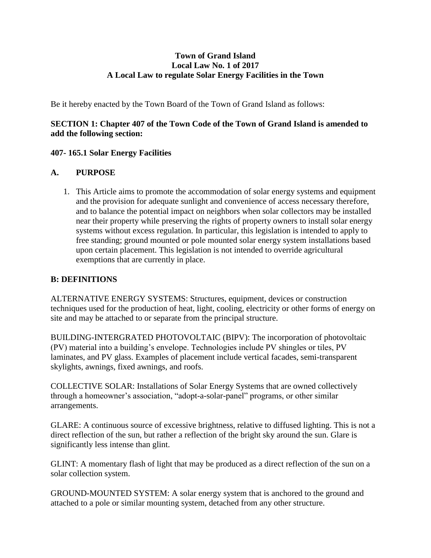## **Town of Grand Island Local Law No. 1 of 2017 A Local Law to regulate Solar Energy Facilities in the Town**

Be it hereby enacted by the Town Board of the Town of Grand Island as follows:

## **SECTION 1: Chapter 407 of the Town Code of the Town of Grand Island is amended to add the following section:**

## **407- 165.1 Solar Energy Facilities**

## **A. PURPOSE**

1. This Article aims to promote the accommodation of solar energy systems and equipment and the provision for adequate sunlight and convenience of access necessary therefore, and to balance the potential impact on neighbors when solar collectors may be installed near their property while preserving the rights of property owners to install solar energy systems without excess regulation. In particular, this legislation is intended to apply to free standing; ground mounted or pole mounted solar energy system installations based upon certain placement. This legislation is not intended to override agricultural exemptions that are currently in place.

### **B: DEFINITIONS**

ALTERNATIVE ENERGY SYSTEMS: Structures, equipment, devices or construction techniques used for the production of heat, light, cooling, electricity or other forms of energy on site and may be attached to or separate from the principal structure.

BUILDING-INTERGRATED PHOTOVOLTAIC (BIPV): The incorporation of photovoltaic (PV) material into a building's envelope. Technologies include PV shingles or tiles, PV laminates, and PV glass. Examples of placement include vertical facades, semi-transparent skylights, awnings, fixed awnings, and roofs.

COLLECTIVE SOLAR: Installations of Solar Energy Systems that are owned collectively through a homeowner's association, "adopt-a-solar-panel" programs, or other similar arrangements.

GLARE: A continuous source of excessive brightness, relative to diffused lighting. This is not a direct reflection of the sun, but rather a reflection of the bright sky around the sun. Glare is significantly less intense than glint.

GLINT: A momentary flash of light that may be produced as a direct reflection of the sun on a solar collection system.

GROUND-MOUNTED SYSTEM: A solar energy system that is anchored to the ground and attached to a pole or similar mounting system, detached from any other structure.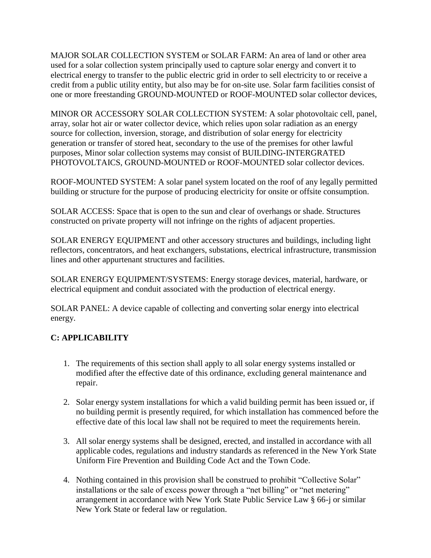MAJOR SOLAR COLLECTION SYSTEM or SOLAR FARM: An area of land or other area used for a solar collection system principally used to capture solar energy and convert it to electrical energy to transfer to the public electric grid in order to sell electricity to or receive a credit from a public utility entity, but also may be for on-site use. Solar farm facilities consist of one or more freestanding GROUND-MOUNTED or ROOF-MOUNTED solar collector devices,

MINOR OR ACCESSORY SOLAR COLLECTION SYSTEM: A solar photovoltaic cell, panel, array, solar hot air or water collector device, which relies upon solar radiation as an energy source for collection, inversion, storage, and distribution of solar energy for electricity generation or transfer of stored heat, secondary to the use of the premises for other lawful purposes, Minor solar collection systems may consist of BUILDING-INTERGRATED PHOTOVOLTAICS, GROUND-MOUNTED or ROOF-MOUNTED solar collector devices.

ROOF-MOUNTED SYSTEM: A solar panel system located on the roof of any legally permitted building or structure for the purpose of producing electricity for onsite or offsite consumption.

SOLAR ACCESS: Space that is open to the sun and clear of overhangs or shade. Structures constructed on private property will not infringe on the rights of adjacent properties.

SOLAR ENERGY EQUIPMENT and other accessory structures and buildings, including light reflectors, concentrators, and heat exchangers, substations, electrical infrastructure, transmission lines and other appurtenant structures and facilities.

SOLAR ENERGY EQUIPMENT/SYSTEMS: Energy storage devices, material, hardware, or electrical equipment and conduit associated with the production of electrical energy.

SOLAR PANEL: A device capable of collecting and converting solar energy into electrical energy.

# **C: APPLICABILITY**

- 1. The requirements of this section shall apply to all solar energy systems installed or modified after the effective date of this ordinance, excluding general maintenance and repair.
- 2. Solar energy system installations for which a valid building permit has been issued or, if no building permit is presently required, for which installation has commenced before the effective date of this local law shall not be required to meet the requirements herein.
- 3. All solar energy systems shall be designed, erected, and installed in accordance with all applicable codes, regulations and industry standards as referenced in the New York State Uniform Fire Prevention and Building Code Act and the Town Code.
- 4. Nothing contained in this provision shall be construed to prohibit "Collective Solar" installations or the sale of excess power through a "net billing" or "net metering" arrangement in accordance with New York State Public Service Law § 66-j or similar New York State or federal law or regulation.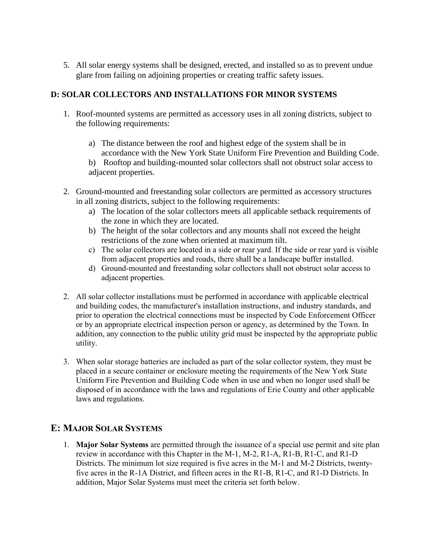5. All solar energy systems shall be designed, erected, and installed so as to prevent undue glare from failing on adjoining properties or creating traffic safety issues.

## **D: SOLAR COLLECTORS AND INSTALLATIONS FOR MINOR SYSTEMS**

- 1. Roof-mounted systems are permitted as accessory uses in all zoning districts, subject to the following requirements:
	- a) The distance between the roof and highest edge of the system shall be in accordance with the New York State Uniform Fire Prevention and Building Code.
	- b) Rooftop and building-mounted solar collectors shall not obstruct solar access to adjacent properties.
- 2. Ground-mounted and freestanding solar collectors are permitted as accessory structures in all zoning districts, subject to the following requirements:
	- a) The location of the solar collectors meets all applicable setback requirements of the zone in which they are located.
	- b) The height of the solar collectors and any mounts shall not exceed the height restrictions of the zone when oriented at maximum tilt.
	- c) The solar collectors are located in a side or rear yard. If the side or rear yard is visible from adjacent properties and roads, there shall be a landscape buffer installed.
	- d) Ground-mounted and freestanding solar collectors shall not obstruct solar access to adjacent properties.
- 2. All solar collector installations must be performed in accordance with applicable electrical and building codes, the manufacturer's installation instructions, and industry standards, and prior to operation the electrical connections must be inspected by Code Enforcement Officer or by an appropriate electrical inspection person or agency, as determined by the Town. In addition, any connection to the public utility grid must be inspected by the appropriate public utility.
- 3. When solar storage batteries are included as part of the solar collector system, they must be placed in a secure container or enclosure meeting the requirements of the New York State Uniform Fire Prevention and Building Code when in use and when no longer used shall be disposed of in accordance with the laws and regulations of Erie County and other applicable laws and regulations.

# **E: MAJOR SOLAR SYSTEMS**

1. **Major Solar Systems** are permitted through the issuance of a special use permit and site plan review in accordance with this Chapter in the M-1, M-2, R1-A, R1-B, R1-C, and R1-D Districts. The minimum lot size required is five acres in the M-1 and M-2 Districts, twentyfive acres in the R-1A District, and fifteen acres in the R1-B, R1-C, and R1-D Districts. In addition, Major Solar Systems must meet the criteria set forth below.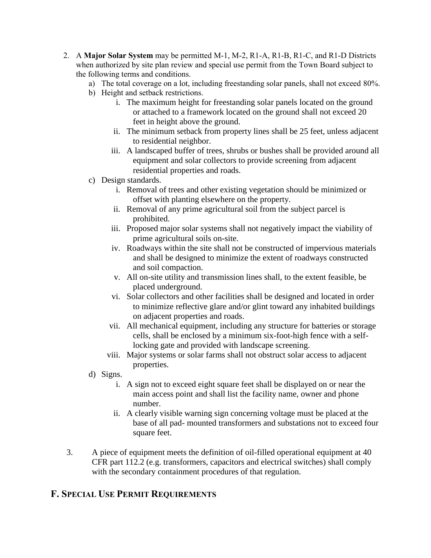- 2. A **Major Solar System** may be permitted M-1, M-2, R1-A, R1-B, R1-C, and R1-D Districts when authorized by site plan review and special use permit from the Town Board subject to the following terms and conditions.
	- a) The total coverage on a lot, including freestanding solar panels, shall not exceed 80%.
	- b) Height and setback restrictions.
		- i. The maximum height for freestanding solar panels located on the ground or attached to a framework located on the ground shall not exceed 20 feet in height above the ground.
		- ii. The minimum setback from property lines shall be 25 feet, unless adjacent to residential neighbor.
		- iii. A landscaped buffer of trees, shrubs or bushes shall be provided around all equipment and solar collectors to provide screening from adjacent residential properties and roads.
	- c) Design standards.
		- i. Removal of trees and other existing vegetation should be minimized or offset with planting elsewhere on the property.
		- ii. Removal of any prime agricultural soil from the subject parcel is prohibited.
		- iii. Proposed major solar systems shall not negatively impact the viability of prime agricultural soils on-site.
		- iv. Roadways within the site shall not be constructed of impervious materials and shall be designed to minimize the extent of roadways constructed and soil compaction.
		- v. All on-site utility and transmission lines shall, to the extent feasible, be placed underground.
		- vi. Solar collectors and other facilities shall be designed and located in order to minimize reflective glare and/or glint toward any inhabited buildings on adjacent properties and roads.
		- vii. All mechanical equipment, including any structure for batteries or storage cells, shall be enclosed by a minimum six-foot-high fence with a selflocking gate and provided with landscape screening.
		- viii. Major systems or solar farms shall not obstruct solar access to adjacent properties.
	- d) Signs.
		- i. A sign not to exceed eight square feet shall be displayed on or near the main access point and shall list the facility name, owner and phone number.
		- ii. A clearly visible warning sign concerning voltage must be placed at the base of all pad- mounted transformers and substations not to exceed four square feet.
- 3. A piece of equipment meets the definition of oil-filled operational equipment at 40 CFR part 112.2 (e.g. transformers, capacitors and electrical switches) shall comply with the secondary containment procedures of that regulation.

# **F. SPECIAL USE PERMIT REQUIREMENTS**